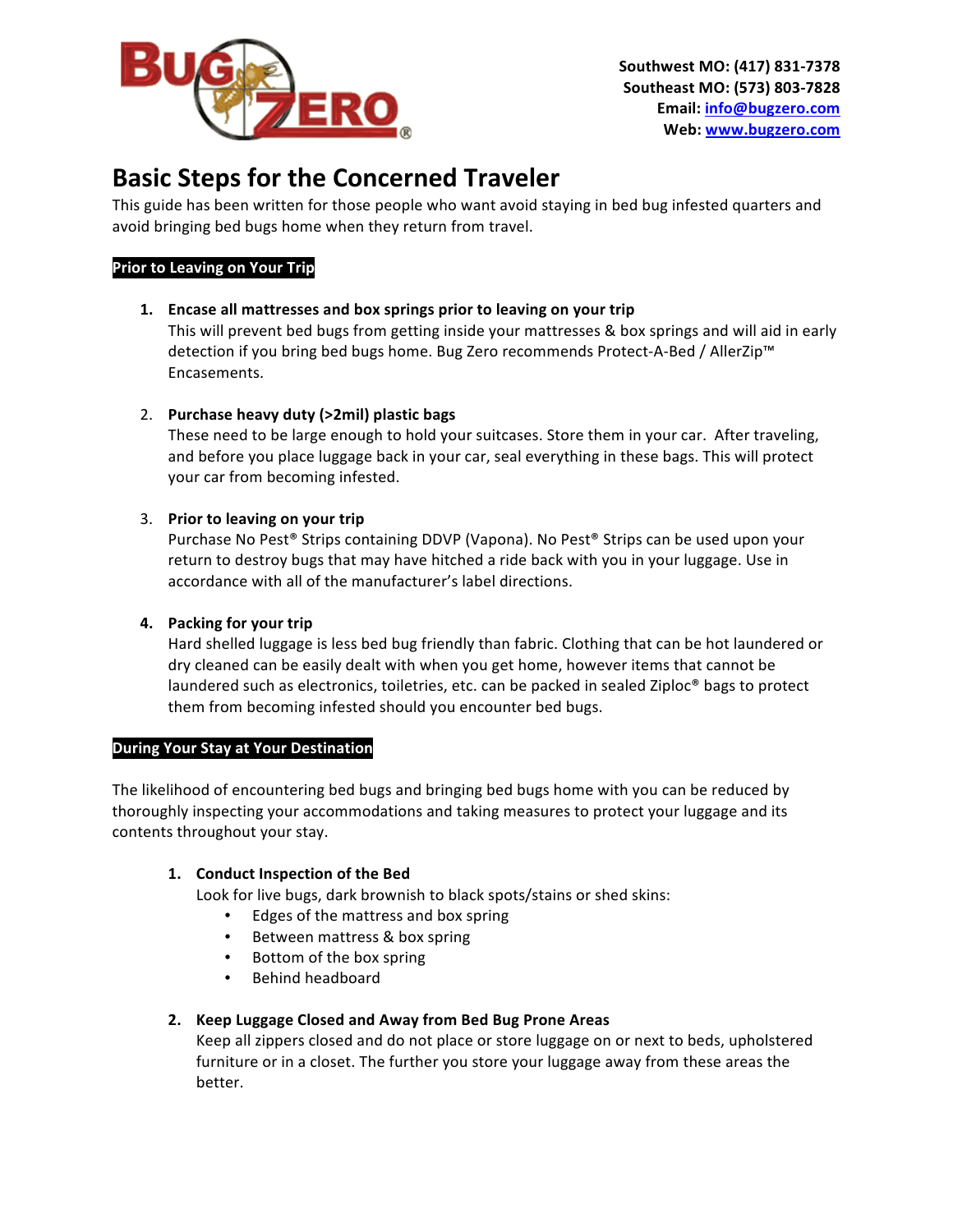

# **Basic Steps for the Concerned Traveler**

This guide has been written for those people who want avoid staying in bed bug infested quarters and avoid bringing bed bugs home when they return from travel.

# **Prior to Leaving on Your Trip**

1. **Encase all mattresses and box springs prior to leaving on your trip** 

This will prevent bed bugs from getting inside your mattresses & box springs and will aid in early detection if you bring bed bugs home. Bug Zero recommends Protect-A-Bed / AllerZip™ Encasements. 

2. Purchase heavy duty (>2mil) plastic bags

These need to be large enough to hold your suitcases. Store them in your car. After traveling, and before you place luggage back in your car, seal everything in these bags. This will protect your car from becoming infested.

## 3. Prior to leaving on your trip

Purchase No Pest® Strips containing DDVP (Vapona). No Pest® Strips can be used upon your return to destroy bugs that may have hitched a ride back with you in your luggage. Use in accordance with all of the manufacturer's label directions.

# **4.** Packing for your trip

Hard shelled luggage is less bed bug friendly than fabric. Clothing that can be hot laundered or dry cleaned can be easily dealt with when you get home, however items that cannot be laundered such as electronics, toiletries, etc. can be packed in sealed Ziploc<sup>®</sup> bags to protect them from becoming infested should you encounter bed bugs.

# **During Your Stay at Your Destination**

The likelihood of encountering bed bugs and bringing bed bugs home with you can be reduced by thoroughly inspecting your accommodations and taking measures to protect your luggage and its contents throughout your stay.

# 1. **Conduct Inspection of the Bed**

Look for live bugs, dark brownish to black spots/stains or shed skins:

- Edges of the mattress and box spring
- Between mattress & box spring
- Bottom of the box spring
- Behind headboard

#### 2. Keep Luggage Closed and Away from Bed Bug Prone Areas

Keep all zippers closed and do not place or store luggage on or next to beds, upholstered furniture or in a closet. The further you store your luggage away from these areas the better.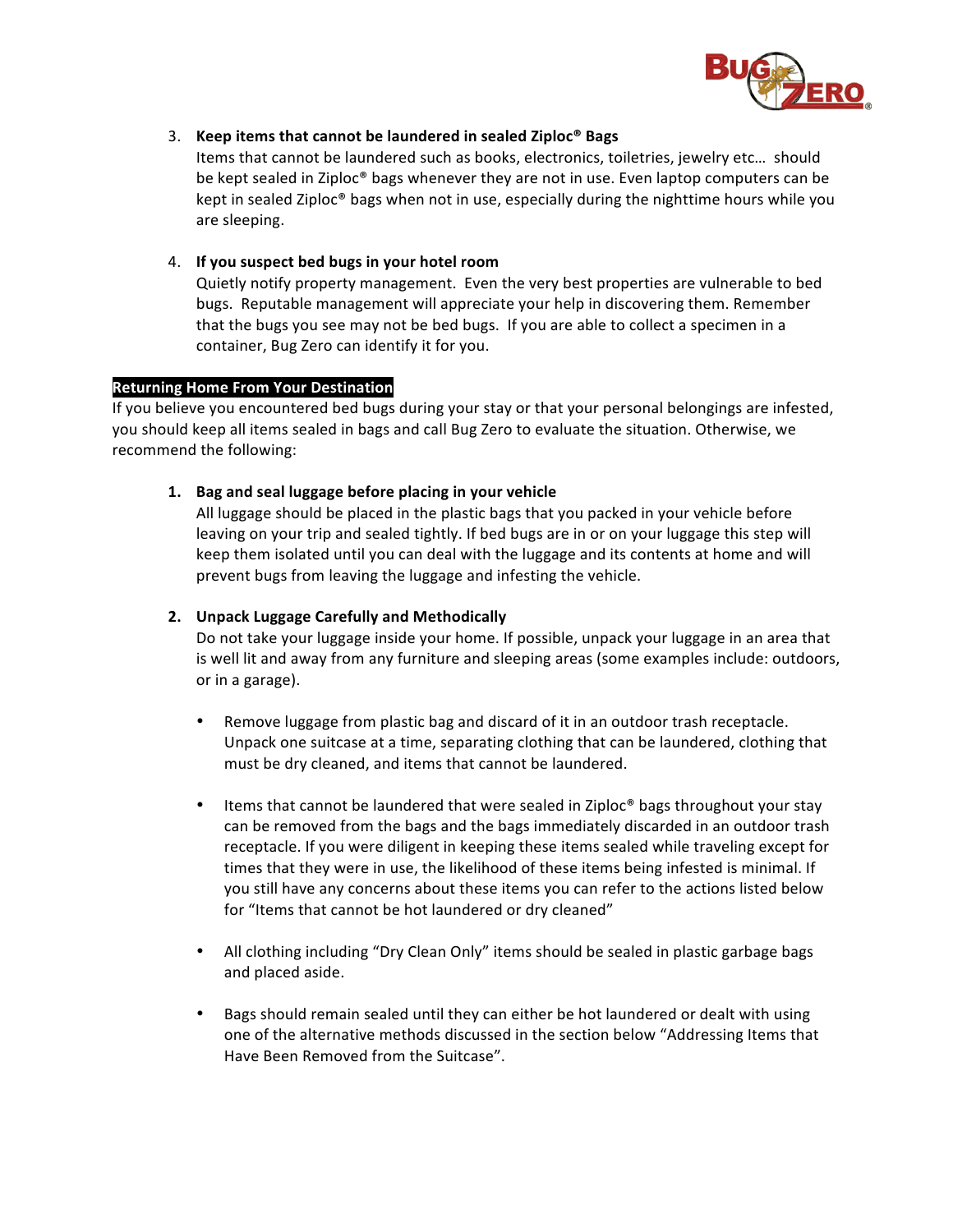

#### 3. Keep items that cannot be laundered in sealed Ziploc<sup>®</sup> Bags

Items that cannot be laundered such as books, electronics, toiletries, jewelry etc... should be kept sealed in Ziploc® bags whenever they are not in use. Even laptop computers can be kept in sealed Ziploc<sup>®</sup> bags when not in use, especially during the nighttime hours while you are sleeping.

## 4. **If you suspect bed bugs in your hotel room**

Quietly notify property management. Even the very best properties are vulnerable to bed bugs. Reputable management will appreciate your help in discovering them. Remember that the bugs you see may not be bed bugs. If you are able to collect a specimen in a container, Bug Zero can identify it for you.

#### **Returning Home From Your Destination**

If you believe you encountered bed bugs during your stay or that your personal belongings are infested, you should keep all items sealed in bags and call Bug Zero to evaluate the situation. Otherwise, we recommend the following:

## 1. Bag and seal luggage before placing in your vehicle

All luggage should be placed in the plastic bags that you packed in your vehicle before leaving on your trip and sealed tightly. If bed bugs are in or on your luggage this step will keep them isolated until you can deal with the luggage and its contents at home and will prevent bugs from leaving the luggage and infesting the vehicle.

### 2. Unpack Luggage Carefully and Methodically

Do not take your luggage inside your home. If possible, unpack your luggage in an area that is well lit and away from any furniture and sleeping areas (some examples include: outdoors, or in a garage).

- Remove luggage from plastic bag and discard of it in an outdoor trash receptacle. Unpack one suitcase at a time, separating clothing that can be laundered, clothing that must be dry cleaned, and items that cannot be laundered.
- Items that cannot be laundered that were sealed in Ziploc<sup>®</sup> bags throughout your stay can be removed from the bags and the bags immediately discarded in an outdoor trash receptacle. If you were diligent in keeping these items sealed while traveling except for times that they were in use, the likelihood of these items being infested is minimal. If you still have any concerns about these items you can refer to the actions listed below for "Items that cannot be hot laundered or dry cleaned"
- All clothing including "Dry Clean Only" items should be sealed in plastic garbage bags and placed aside.
- Bags should remain sealed until they can either be hot laundered or dealt with using one of the alternative methods discussed in the section below "Addressing Items that Have Been Removed from the Suitcase".